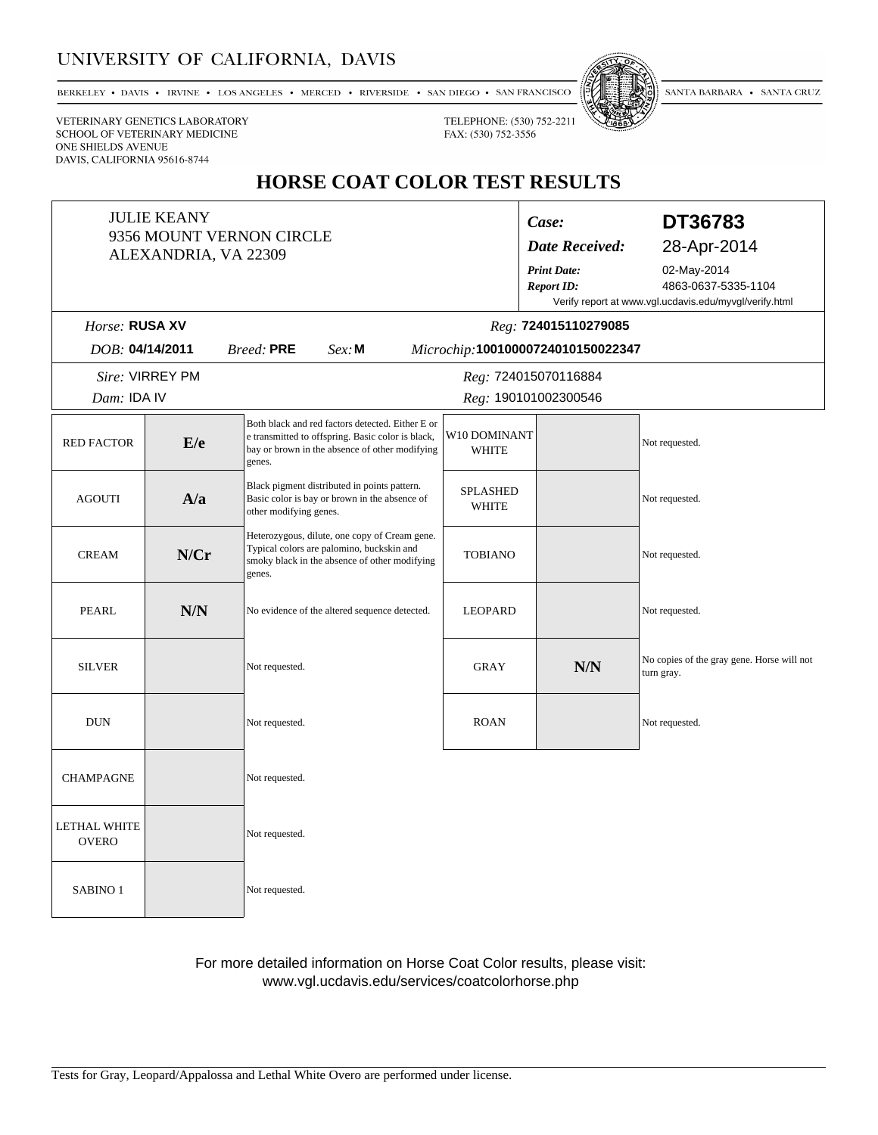# UNIVERSITY OF CALIFORNIA, DAVIS

BERKELEY • DAVIS • IRVINE • LOS ANGELES • MERCED • RIVERSIDE • SAN DIEGO • SAN FRANCISCO



SANTA BARBARA • SANTA CRUZ

VETERINARY GENETICS LABORATORY SCHOOL OF VETERINARY MEDICINE ONE SHIELDS AVENUE DAVIS, CALIFORNIA 95616-8744

# **HORSE COAT COLOR TEST RESULTS**

TELEPHONE: (530) 752-2211

FAX: (530) 752-3556

| <b>JULIE KEANY</b><br>9356 MOUNT VERNON CIRCLE<br>ALEXANDRIA, VA 22309                 |      |                                                                                                                                                                   |                              | Case:<br><b>Date Received:</b>          | DT36783<br>28-Apr-2014                                                                       |
|----------------------------------------------------------------------------------------|------|-------------------------------------------------------------------------------------------------------------------------------------------------------------------|------------------------------|-----------------------------------------|----------------------------------------------------------------------------------------------|
|                                                                                        |      |                                                                                                                                                                   |                              | <b>Print Date:</b><br><b>Report ID:</b> | 02-May-2014<br>4863-0637-5335-1104<br>Verify report at www.vgl.ucdavis.edu/myvgl/verify.html |
| Horse: RUSA XV<br>Reg: 724015110279085                                                 |      |                                                                                                                                                                   |                              |                                         |                                                                                              |
| DOB: 04/14/2011<br><b>Breed: PRE</b><br>$Sex$ : M<br>Microchip:10010000724010150022347 |      |                                                                                                                                                                   |                              |                                         |                                                                                              |
| Sire: VIRREY PM<br>Reg: 724015070116884                                                |      |                                                                                                                                                                   |                              |                                         |                                                                                              |
| Dam: IDA IV                                                                            |      | Reg: 190101002300546                                                                                                                                              |                              |                                         |                                                                                              |
| <b>RED FACTOR</b>                                                                      | E/e  | Both black and red factors detected. Either E or<br>e transmitted to offspring. Basic color is black,<br>bay or brown in the absence of other modifying<br>genes. | W10 DOMINANT<br><b>WHITE</b> |                                         | Not requested.                                                                               |
| <b>AGOUTI</b>                                                                          | A/a  | Black pigment distributed in points pattern.<br>Basic color is bay or brown in the absence of<br>other modifying genes.                                           | <b>SPLASHED</b><br>WHITE     |                                         | Not requested.                                                                               |
| <b>CREAM</b>                                                                           | N/Cr | Heterozygous, dilute, one copy of Cream gene.<br>Typical colors are palomino, buckskin and<br>smoky black in the absence of other modifying<br>genes.             | <b>TOBIANO</b>               |                                         | Not requested.                                                                               |
| PEARL                                                                                  | N/N  | No evidence of the altered sequence detected.                                                                                                                     | <b>LEOPARD</b>               |                                         | Not requested.                                                                               |
| <b>SILVER</b>                                                                          |      | Not requested.                                                                                                                                                    | <b>GRAY</b>                  | N/N                                     | No copies of the gray gene. Horse will not<br>turn gray.                                     |
| <b>DUN</b>                                                                             |      | Not requested.                                                                                                                                                    | <b>ROAN</b>                  |                                         | Not requested.                                                                               |
| <b>CHAMPAGNE</b>                                                                       |      | Not requested.                                                                                                                                                    |                              |                                         |                                                                                              |
| <b>LETHAL WHITE</b><br><b>OVERO</b>                                                    |      | Not requested.                                                                                                                                                    |                              |                                         |                                                                                              |
| SABINO <sub>1</sub>                                                                    |      | Not requested.                                                                                                                                                    |                              |                                         |                                                                                              |

For more detailed information on Horse Coat Color results, please visit: www.vgl.ucdavis.edu/services/coatcolorhorse.php